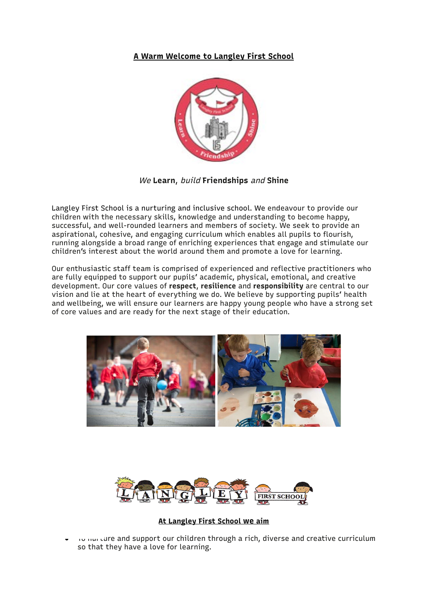## **A Warm Welcome to Langley First School**



We **Learn**, build **Friendships** and **Shine**

Langley First School is a nurturing and inclusive school. We endeavour to provide our children with the necessary skills, knowledge and understanding to become happy, successful, and well-rounded learners and members of society. We seek to provide an aspirational, cohesive, and engaging curriculum which enables all pupils to flourish, running alongside a broad range of enriching experiences that engage and stimulate our children's interest about the world around them and promote a love for learning.

Our enthusiastic staff team is comprised of experienced and reflective practitioners who are fully equipped to support our pupils' academic, physical, emotional, and creative development. Our core values of **respect**, **resilience** and **responsibility** are central to our vision and lie at the heart of everything we do. We believe by supporting pupils' health and wellbeing, we will ensure our learners are happy young people who have a strong set of core values and are ready for the next stage of their education.





## **At Langley First School we aim**

To nurture and support our children through a rich, diverse and creative curriculum so that they have a love for learning.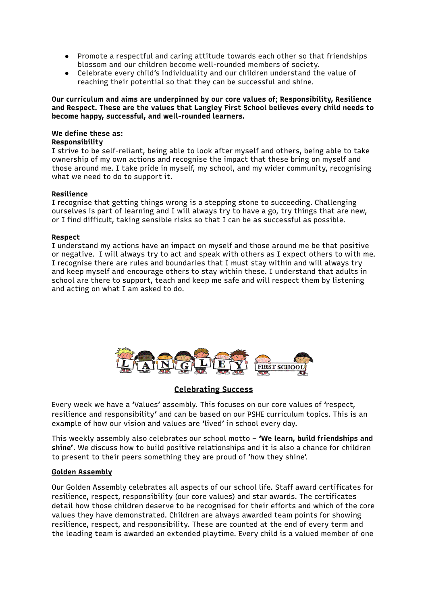- Promote a respectful and caring attitude towards each other so that friendships blossom and our children become well-rounded members of society.
- Celebrate every child's individuality and our children understand the value of reaching their potential so that they can be successful and shine.

**Our curriculum and aims are underpinned by our core values of; Responsibility, Resilience and Respect. These are the values that Langley First School believes every child needs to become happy, successful, and well-rounded learners.**

## **We define these as:**

## **Responsibility**

I strive to be self-reliant, being able to look after myself and others, being able to take ownership of my own actions and recognise the impact that these bring on myself and those around me. I take pride in myself, my school, and my wider community, recognising what we need to do to support it.

### **Resilience**

I recognise that getting things wrong is a stepping stone to succeeding. Challenging ourselves is part of learning and I will always try to have a go, try things that are new, or I find difficult, taking sensible risks so that I can be as successful as possible.

#### **Respect**

I understand my actions have an impact on myself and those around me be that positive or negative. I will always try to act and speak with others as I expect others to with me. I recognise there are rules and boundaries that I must stay within and will always try and keep myself and encourage others to stay within these. I understand that adults in school are there to support, teach and keep me safe and will respect them by listening and acting on what I am asked to do.



## **Celebrating Success**

Every week we have a 'Values' assembly. This focuses on our core values of 'respect, resilience and responsibility' and can be based on our PSHE curriculum topics. This is an example of how our vision and values are 'lived' in school every day.

This weekly assembly also celebrates our school motto – **'We learn, build friendships and shine'**. We discuss how to build positive relationships and it is also a chance for children to present to their peers something they are proud of 'how they shine'.

## **Golden Assembly**

Our Golden Assembly celebrates all aspects of our school life. Staff award certificates for resilience, respect, responsibility (our core values) and star awards. The certificates detail how those children deserve to be recognised for their efforts and which of the core values they have demonstrated. Children are always awarded team points for showing resilience, respect, and responsibility. These are counted at the end of every term and the leading team is awarded an extended playtime. Every child is a valued member of one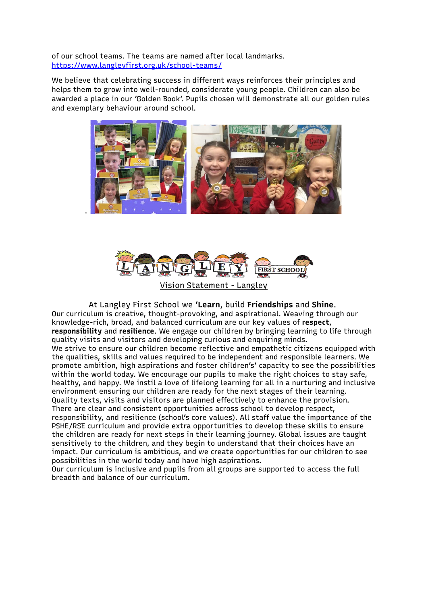of our school teams. The teams are named after local landmarks. <https://www.langleyfirst.org.uk/school-teams/>

We believe that celebrating success in different ways reinforces their principles and helps them to grow into well-rounded, considerate young people. Children can also be awarded a place in our 'Golden Book'. Pupils chosen will demonstrate all our golden rules and exemplary behaviour around school.





Vision Statement - Langley

At Langley First School we '**Learn**, build **Friendships** and **Shine**. Our curriculum is creative, thought-provoking, and aspirational. Weaving through our knowledge-rich, broad, and balanced curriculum are our key values of **respect**, **responsibility** and **resilience**. We engage our children by bringing learning to life through quality visits and visitors and developing curious and enquiring minds. We strive to ensure our children become reflective and empathetic citizens equipped with the qualities, skills and values required to be independent and responsible learners. We promote ambition, high aspirations and foster children's' capacity to see the possibilities within the world today. We encourage our pupils to make the right choices to stay safe, healthy, and happy. We instil a love of lifelong learning for all in a nurturing and inclusive environment ensuring our children are ready for the next stages of their learning. Quality texts, visits and visitors are planned effectively to enhance the provision. There are clear and consistent opportunities across school to develop respect, responsibility, and resilience (school's core values). All staff value the importance of the PSHE/RSE curriculum and provide extra opportunities to develop these skills to ensure the children are ready for next steps in their learning journey. Global issues are taught sensitively to the children, and they begin to understand that their choices have an impact. Our curriculum is ambitious, and we create opportunities for our children to see possibilities in the world today and have high aspirations.

Our curriculum is inclusive and pupils from all groups are supported to access the full breadth and balance of our curriculum.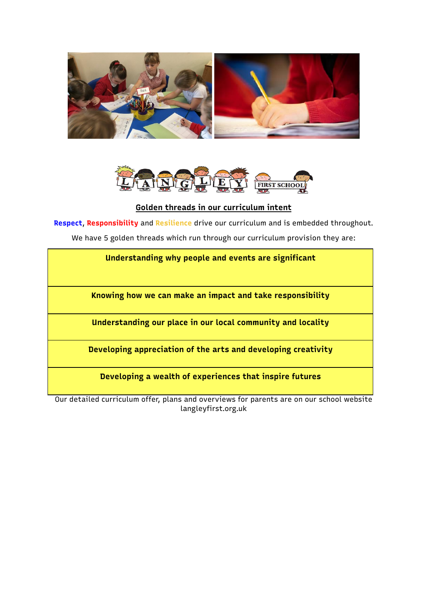



**Golden threads in our curriculum intent**

**Respect**, **Responsibility** and **Resilience** drive our curriculum and is embedded throughout.

We have 5 golden threads which run through our curriculum provision they are:

| Understanding why people and events are significant |  |
|-----------------------------------------------------|--|
|-----------------------------------------------------|--|

**Knowing how we can make an impact and take responsibility**

**Understanding our place in our local community and locality**

**Developing appreciation of the arts and developing creativity**

**Developing a wealth of experiences that inspire futures**

Our detailed curriculum offer, plans and overviews for parents are on our school website langleyfirst.org.uk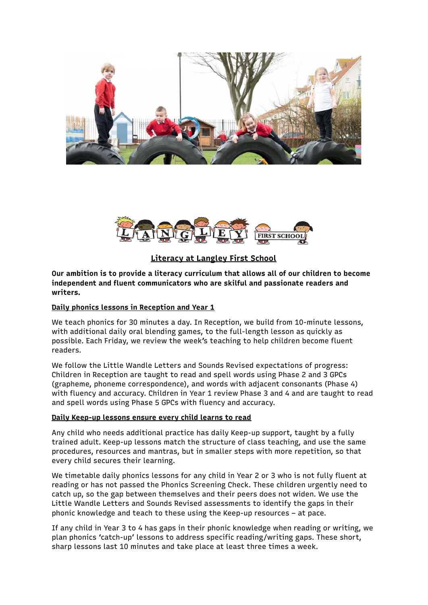



**Literacy at Langley First School**

**Our ambition is to provide a literacy curriculum that allows all of our children to become independent and fluent communicators who are skilful and passionate readers and writers.**

## **Daily phonics lessons in Reception and Year 1**

We teach phonics for 30 minutes a day. In Reception, we build from 10-minute lessons, with additional daily oral blending games, to the full-length lesson as quickly as possible. Each Friday, we review the week's teaching to help children become fluent readers.

We follow the Little Wandle Letters and Sounds Revised expectations of progress: Children in Reception are taught to read and spell words using Phase 2 and 3 GPCs (grapheme, phoneme correspondence), and words with adjacent consonants (Phase 4) with fluency and accuracy. Children in Year 1 review Phase 3 and 4 and are taught to read and spell words using Phase 5 GPCs with fluency and accuracy.

### **Daily Keep-up lessons ensure every child learns to read**

Any child who needs additional practice has daily Keep-up support, taught by a fully trained adult. Keep-up lessons match the structure of class teaching, and use the same procedures, resources and mantras, but in smaller steps with more repetition, so that every child secures their learning.

We timetable daily phonics lessons for any child in Year 2 or 3 who is not fully fluent at reading or has not passed the Phonics Screening Check. These children urgently need to catch up, so the gap between themselves and their peers does not widen. We use the Little Wandle Letters and Sounds Revised assessments to identify the gaps in their phonic knowledge and teach to these using the Keep-up resources – at pace.

If any child in Year 3 to 4 has gaps in their phonic knowledge when reading or writing, we plan phonics 'catch-up' lessons to address specific reading/writing gaps. These short, sharp lessons last 10 minutes and take place at least three times a week.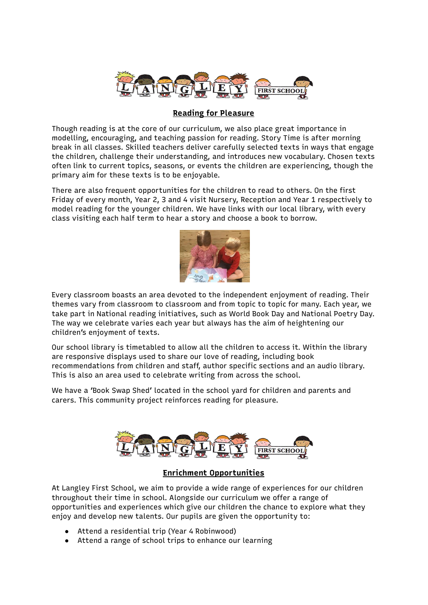

## **Reading for Pleasure**

Though reading is at the core of our curriculum, we also place great importance in modelling, encouraging, and teaching passion for reading. Story Time is after morning break in all classes. Skilled teachers deliver carefully selected texts in ways that engage the children, challenge their understanding, and introduces new vocabulary. Chosen texts often link to current topics, seasons, or events the children are experiencing, though the primary aim for these texts is to be enjoyable.

There are also frequent opportunities for the children to read to others. On the first Friday of every month, Year 2, 3 and 4 visit Nursery, Reception and Year 1 respectively to model reading for the younger children. We have links with our local library, with every class visiting each half term to hear a story and choose a book to borrow.



Every classroom boasts an area devoted to the independent enjoyment of reading. Their themes vary from classroom to classroom and from topic to topic for many. Each year, we take part in National reading initiatives, such as World Book Day and National Poetry Day. The way we celebrate varies each year but always has the aim of heightening our children's enjoyment of texts.

Our school library is timetabled to allow all the children to access it. Within the library are responsive displays used to share our love of reading, including book recommendations from children and staff, author specific sections and an audio library. This is also an area used to celebrate writing from across the school.

We have a 'Book Swap Shed' located in the school yard for children and parents and carers. This community project reinforces reading for pleasure.



## **Enrichment Opportunities**

At Langley First School, we aim to provide a wide range of experiences for our children throughout their time in school. Alongside our curriculum we offer a range of opportunities and experiences which give our children the chance to explore what they enjoy and develop new talents. Our pupils are given the opportunity to:

- Attend a residential trip (Year 4 Robinwood)
- Attend a range of school trips to enhance our learning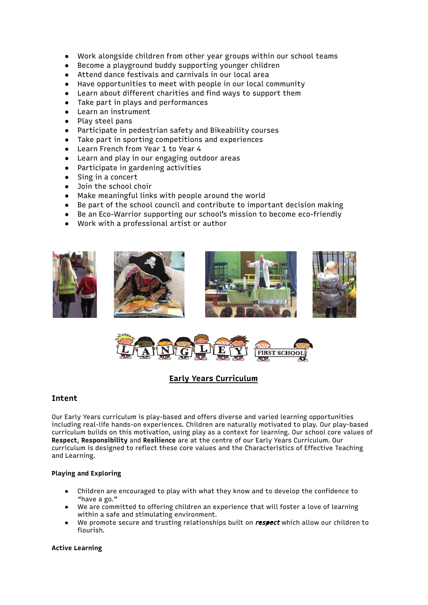- Work alongside children from other year groups within our school teams
- Become a playground buddy supporting younger children
- Attend dance festivals and carnivals in our local area
- Have opportunities to meet with people in our local community
- Learn about different charities and find ways to support them
- Take part in plays and performances
- Learn an instrument
- Play steel pans
- Participate in pedestrian safety and Bikeability courses
- Take part in sporting competitions and experiences
- Learn French from Year 1 to Year 4
- Learn and play in our engaging outdoor areas
- Participate in gardening activities
- Sing in a concert
- Join the school choir
- Make meaningful links with people around the world
- Be part of the school council and contribute to important decision making
- Be an Eco-Warrior supporting our school's mission to become eco-friendly
- Work with a professional artist or author





## **Early Years Curriculum**

### **Intent**

Our Early Years curriculum is play-based and offers diverse and varied learning opportunities including real-life hands-on experiences. Children are naturally motivated to play. Our play-based curriculum builds on this motivation, using play as a context for learning. Our school core values of **Respect**, **Responsibility** and **Resilience** are at the centre of our Early Years Curriculum. Our curriculum is designed to reflect these core values and the Characteristics of Effective Teaching and Learning.

#### **Playing and Exploring**

- Children are encouraged to play with what they know and to develop the confidence to "have a go."
- We are committed to offering children an experience that will foster a love of learning within a safe and stimulating environment.
- We promote secure and trusting relationships built on respect which allow our children to flourish.

#### **Active Learning**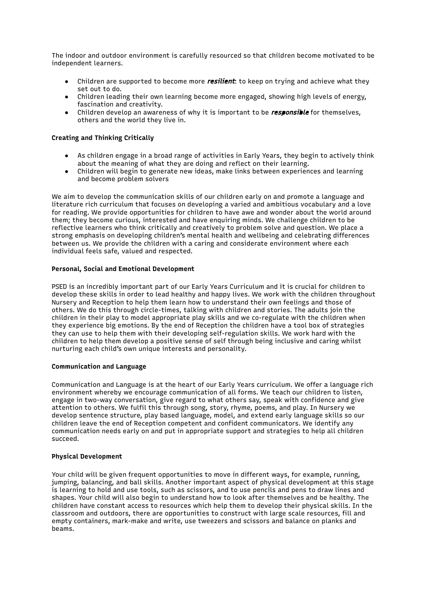The indoor and outdoor environment is carefully resourced so that children become motivated to be independent learners.

- Children are supported to become more *resilient*: to keep on trying and achieve what they set out to do.
- Children leading their own learning become more engaged, showing high levels of energy, fascination and creativity.
- Children develop an awareness of why it is important to be *responsible* for themselves, others and the world they live in.

#### **Creating and Thinking Critically**

- As children engage in a broad range of activities in Early Years, they begin to actively think about the meaning of what they are doing and reflect on their learning.
- Children will begin to generate new ideas, make links between experiences and learning and become problem solvers

We aim to develop the communication skills of our children early on and promote a language and literature rich curriculum that focuses on developing a varied and ambitious vocabulary and a love for reading. We provide opportunities for children to have awe and wonder about the world around them; they become curious, interested and have enquiring minds. We challenge children to be reflective learners who think critically and creatively to problem solve and question. We place a strong emphasis on developing children's mental health and wellbeing and celebrating differences between us. We provide the children with a caring and considerate environment where each individual feels safe, valued and respected.

#### **Personal, Social and Emotional Development**

PSED is an incredibly important part of our Early Years Curriculum and it is crucial for children to develop these skills in order to lead healthy and happy lives. We work with the children throughout Nursery and Reception to help them learn how to understand their own feelings and those of others. We do this through circle-times, talking with children and stories. The adults join the children in their play to model appropriate play skills and we co-regulate with the children when they experience big emotions. By the end of Reception the children have a tool box of strategies they can use to help them with their developing self-regulation skills. We work hard with the children to help them develop a positive sense of self through being inclusive and caring whilst nurturing each child's own unique interests and personality.

#### **Communication and Language**

Communication and Language is at the heart of our Early Years curriculum. We offer a language rich environment whereby we encourage communication of all forms. We teach our children to listen, engage in two-way conversation, give regard to what others say, speak with confidence and give attention to others. We fulfil this through song, story, rhyme, poems, and play. In Nursery we develop sentence structure, play based language, model, and extend early language skills so our children leave the end of Reception competent and confident communicators. We identify any communication needs early on and put in appropriate support and strategies to help all children succeed.

#### **Physical Development**

Your child will be given frequent opportunities to move in different ways, for example, running, jumping, balancing, and ball skills. Another important aspect of physical development at this stage is learning to hold and use tools, such as scissors, and to use pencils and pens to draw lines and shapes. Your child will also begin to understand how to look after themselves and be healthy. The children have constant access to resources which help them to develop their physical skills. In the classroom and outdoors, there are opportunities to construct with large scale resources, fill and empty containers, mark-make and write, use tweezers and scissors and balance on planks and beams.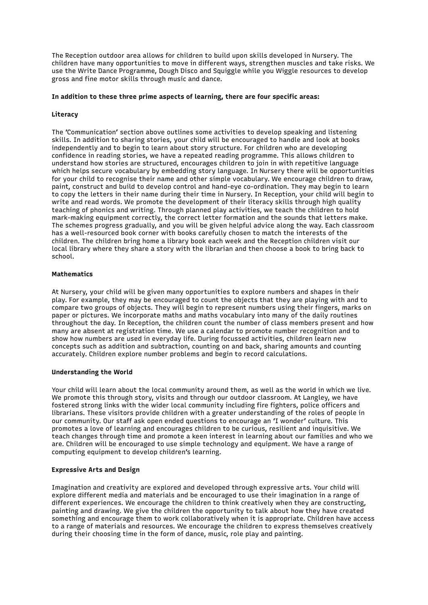The Reception outdoor area allows for children to build upon skills developed in Nursery. The children have many opportunities to move in different ways, strengthen muscles and take risks. We use the Write Dance Programme, Dough Disco and Squiggle while you Wiggle resources to develop gross and fine motor skills through music and dance.

#### **In addition to these three prime aspects of learning, there are four specific areas:**

#### **Literacy**

The 'Communication' section above outlines some activities to develop speaking and listening skills. In addition to sharing stories, your child will be encouraged to handle and look at books independently and to begin to learn about story structure. For children who are developing confidence in reading stories, we have a repeated reading programme. This allows children to understand how stories are structured, encourages children to join in with repetitive language which helps secure vocabulary by embedding story language. In Nursery there will be opportunities for your child to recognise their name and other simple vocabulary. We encourage children to draw, paint, construct and build to develop control and hand-eye co-ordination. They may begin to learn to copy the letters in their name during their time in Nursery. In Reception, your child will begin to write and read words. We promote the development of their literacy skills through high quality teaching of phonics and writing. Through planned play activities, we teach the children to hold mark-making equipment correctly, the correct letter formation and the sounds that letters make. The schemes progress gradually, and you will be given helpful advice along the way. Each classroom has a well-resourced book corner with books carefully chosen to match the interests of the children. The children bring home a library book each week and the Reception children visit our local library where they share a story with the librarian and then choose a book to bring back to school.

#### **Mathematics**

At Nursery, your child will be given many opportunities to explore numbers and shapes in their play. For example, they may be encouraged to count the objects that they are playing with and to compare two groups of objects. They will begin to represent numbers using their fingers, marks on paper or pictures. We incorporate maths and maths vocabulary into many of the daily routines throughout the day. In Reception, the children count the number of class members present and how many are absent at registration time. We use a calendar to promote number recognition and to show how numbers are used in everyday life. During focussed activities, children learn new concepts such as addition and subtraction, counting on and back, sharing amounts and counting accurately. Children explore number problems and begin to record calculations. 

#### **Understanding the World**

Your child will learn about the local community around them, as well as the world in which we live. We promote this through story, visits and through our outdoor classroom. At Langley, we have fostered strong links with the wider local community including fire fighters, police officers and librarians. These visitors provide children with a greater understanding of the roles of people in our community. Our staff ask open ended questions to encourage an 'I wonder' culture. This promotes a love of learning and encourages children to be curious, resilient and inquisitive. We teach changes through time and promote a keen interest in learning about our families and who we are. Children will be encouraged to use simple technology and equipment. We have a range of computing equipment to develop children's learning.

#### **Expressive Arts and Design**

Imagination and creativity are explored and developed through expressive arts. Your child will explore different media and materials and be encouraged to use their imagination in a range of different experiences. We encourage the children to think creatively when they are constructing, painting and drawing. We give the children the opportunity to talk about how they have created something and encourage them to work collaboratively when it is appropriate. Children have access to a range of materials and resources. We encourage the children to express themselves creatively during their choosing time in the form of dance, music, role play and painting.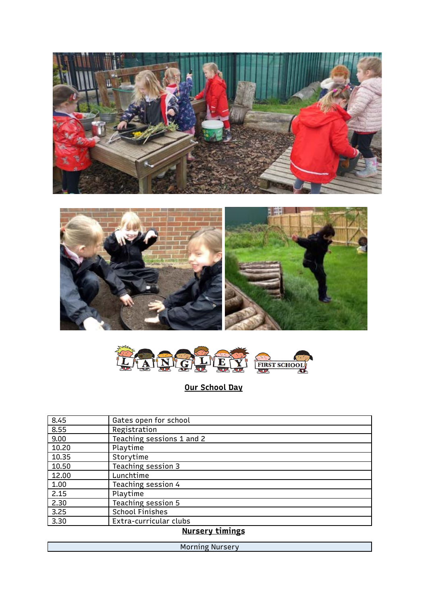





**Our School Day**

| 8.45  | Gates open for school     |
|-------|---------------------------|
| 8.55  | Registration              |
| 9.00  | Teaching sessions 1 and 2 |
| 10.20 | Playtime                  |
| 10.35 | Storytime                 |
| 10.50 | Teaching session 3        |
| 12.00 | Lunchtime                 |
| 1.00  | Teaching session 4        |
| 2.15  | Playtime                  |
| 2.30  | <b>Teaching session 5</b> |
| 3.25  | <b>School Finishes</b>    |
| 3.30  | Extra-curricular clubs    |

# **Nursery timings**

Morning Nursery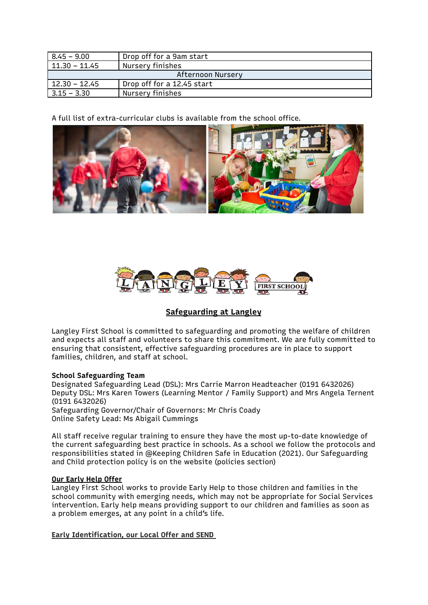| 8.45 – 9.00       | Drop off for a 9am start   |  |
|-------------------|----------------------------|--|
| 11.30 – 11.45     | Nursery finishes           |  |
| Afternoon Nursery |                            |  |
| $12.30 - 12.45$   | Drop off for a 12.45 start |  |
| 3.15 – 3.30       | Nursery finishes           |  |

A full list of extra-curricular clubs is available from the school office.





## **Safeguarding at Langley**

Langley First School is committed to safeguarding and promoting the welfare of children and expects all staff and volunteers to share this commitment. We are fully committed to ensuring that consistent, effective safeguarding procedures are in place to support families, children, and staff at school.

## **School Safeguarding Team**

Designated Safeguarding Lead (DSL): Mrs Carrie Marron Headteacher (0191 6432026) Deputy DSL: Mrs Karen Towers (Learning Mentor / Family Support) and Mrs Angela Ternent (0191 6432026) Safeguarding Governor/Chair of Governors: Mr Chris Coady

Online Safety Lead: Ms Abigail Cummings

All staff receive regular training to ensure they have the most up-to-date knowledge of the current safeguarding best practice in schools. As a school we follow the protocols and responsibilities stated in @Keeping Children Safe in Education (2021). Our Safeguarding and Child protection policy is on the website (policies section)

## **Our Early Help Offer**

Langley First School works to provide Early Help to those children and families in the school community with emerging needs, which may not be appropriate for Social Services intervention. Early help means providing support to our children and families as soon as a problem emerges, at any point in a child's life.

**Early Identification, our Local Offer and SEND**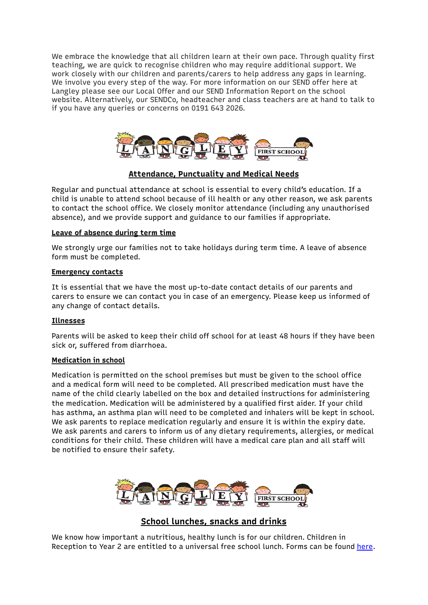We embrace the knowledge that all children learn at their own pace. Through quality first teaching, we are quick to recognise children who may require additional support. We work closely with our children and parents/carers to help address any gaps in learning. We involve you every step of the way. For more information on our SEND offer here at Langley please see our Local Offer and our SEND Information Report on the school website. Alternatively, our SENDCo, headteacher and class teachers are at hand to talk to if you have any queries or concerns on 0191 643 2026.



## **Attendance, Punctuality and Medical Needs**

Regular and punctual attendance at school is essential to every child's education. If a child is unable to attend school because of ill health or any other reason, we ask parents to contact the school office. We closely monitor attendance (including any unauthorised absence), and we provide support and guidance to our families if appropriate.

## **Leave of absence during term time**

We strongly urge our families not to take holidays during term time. A leave of absence form must be completed.

### **Emergency contacts**

It is essential that we have the most up-to-date contact details of our parents and carers to ensure we can contact you in case of an emergency. Please keep us informed of any change of contact details.

## **Illnesses**

Parents will be asked to keep their child off school for at least 48 hours if they have been sick or, suffered from diarrhoea.

### **Medication in school**

Medication is permitted on the school premises but must be given to the school office and a medical form will need to be completed. All prescribed medication must have the name of the child clearly labelled on the box and detailed instructions for administering the medication. Medication will be administered by a qualified first aider. If your child has asthma, an asthma plan will need to be completed and inhalers will be kept in school. We ask parents to replace medication regularly and ensure it is within the expiry date. We ask parents and carers to inform us of any dietary requirements, allergies, or medical conditions for their child. These children will have a medical care plan and all staff will be notified to ensure their safety.



## **School lunches, snacks and drinks**

We know how important a nutritious, healthy lunch is for our children. Children in Reception to Year 2 are entitled to a universal free school lunch. Forms can be found [here](https://my.northtyneside.gov.uk/category/238/free-school-meals#:~:text=Applications%20can%20be%20taken%20over,application%20form%20below%20to%20register.).